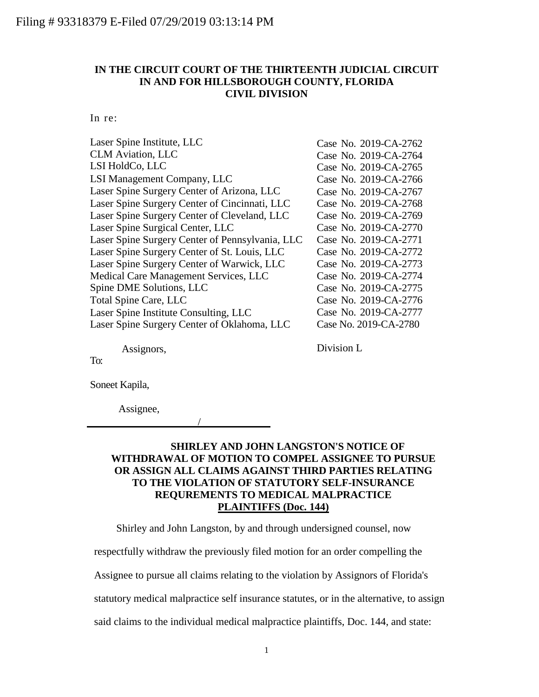## **IN THE CIRCUIT COURT OF THE THIRTEENTH JUDICIAL CIRCUIT IN AND FOR HILLSBOROUGH COUNTY, FLORIDA CIVIL DIVISION**

In re:

| Laser Spine Institute, LLC                      | Case No. 2019-CA-2762 |
|-------------------------------------------------|-----------------------|
| <b>CLM Aviation, LLC</b>                        | Case No. 2019-CA-2764 |
| LSI HoldCo, LLC                                 | Case No. 2019-CA-2765 |
| LSI Management Company, LLC                     | Case No. 2019-CA-2766 |
| Laser Spine Surgery Center of Arizona, LLC      | Case No. 2019-CA-2767 |
| Laser Spine Surgery Center of Cincinnati, LLC   | Case No. 2019-CA-2768 |
| Laser Spine Surgery Center of Cleveland, LLC    | Case No. 2019-CA-2769 |
| Laser Spine Surgical Center, LLC                | Case No. 2019-CA-2770 |
| Laser Spine Surgery Center of Pennsylvania, LLC | Case No. 2019-CA-2771 |
| Laser Spine Surgery Center of St. Louis, LLC    | Case No. 2019-CA-2772 |
| Laser Spine Surgery Center of Warwick, LLC      | Case No. 2019-CA-2773 |
| Medical Care Management Services, LLC           | Case No. 2019-CA-2774 |
| Spine DME Solutions, LLC                        | Case No. 2019-CA-2775 |
| Total Spine Care, LLC                           | Case No. 2019-CA-2776 |
| Laser Spine Institute Consulting, LLC           | Case No. 2019-CA-2777 |
| Laser Spine Surgery Center of Oklahoma, LLC     | Case No. 2019-CA-2780 |
|                                                 |                       |

Assignors,

Division L

To:

Soneet Kapila,

Assignee,

/

## **SHIRLEY AND JOHN LANGSTON'S NOTICE OF WITHDRAWAL OF MOTION TO COMPEL ASSIGNEE TO PURSUE OR ASSIGN ALL CLAIMS AGAINST THIRD PARTIES RELATING TO THE VIOLATION OF STATUTORY SELF-INSURANCE REQUREMENTS TO MEDICAL MALPRACTICE PLAINTIFFS (Doc. 144)**

Shirley and John Langston, by and through undersigned counsel, now

respectfully withdraw the previously filed motion for an order compelling the

Assignee to pursue all claims relating to the violation by Assignors of Florida's

statutory medical malpractice self insurance statutes, or in the alternative, to assign

said claims to the individual medical malpractice plaintiffs, Doc. 144, and state: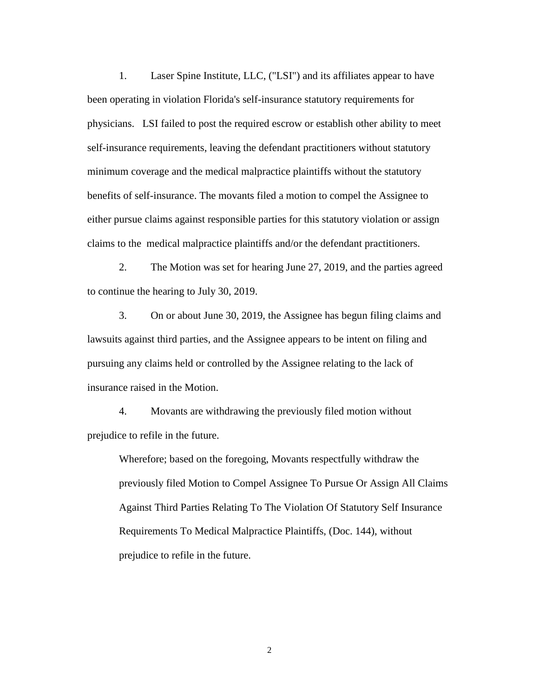1. Laser Spine Institute, LLC, ("LSI") and its affiliates appear to have been operating in violation Florida's self-insurance statutory requirements for physicians. LSI failed to post the required escrow or establish other ability to meet self-insurance requirements, leaving the defendant practitioners without statutory minimum coverage and the medical malpractice plaintiffs without the statutory benefits of self-insurance. The movants filed a motion to compel the Assignee to either pursue claims against responsible parties for this statutory violation or assign claims to the medical malpractice plaintiffs and/or the defendant practitioners.

2. The Motion was set for hearing June 27, 2019, and the parties agreed to continue the hearing to July 30, 2019.

3. On or about June 30, 2019, the Assignee has begun filing claims and lawsuits against third parties, and the Assignee appears to be intent on filing and pursuing any claims held or controlled by the Assignee relating to the lack of insurance raised in the Motion.

4. Movants are withdrawing the previously filed motion without prejudice to refile in the future.

Wherefore; based on the foregoing, Movants respectfully withdraw the previously filed Motion to Compel Assignee To Pursue Or Assign All Claims Against Third Parties Relating To The Violation Of Statutory Self Insurance Requirements To Medical Malpractice Plaintiffs, (Doc. 144), without prejudice to refile in the future.

2